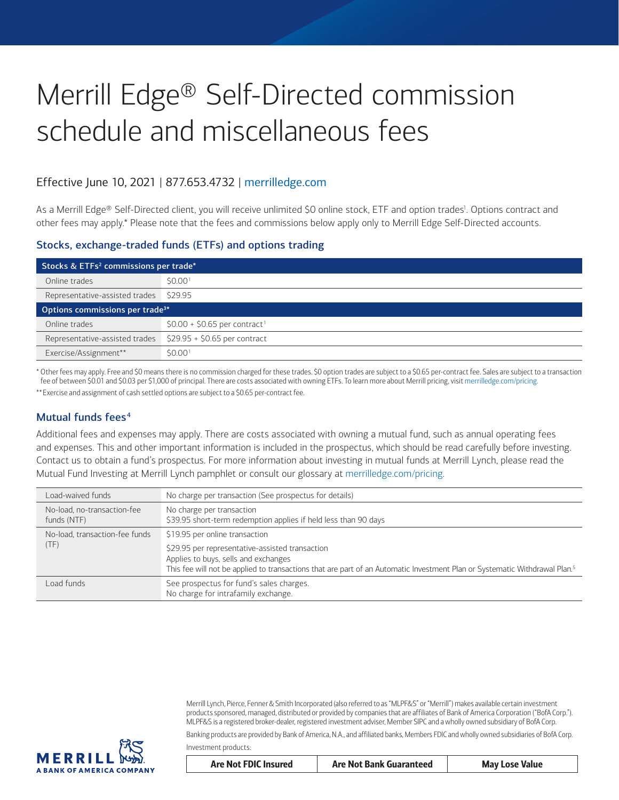# Merrill Edge® Self-Directed commission schedule and miscellaneous fees

## Effective June 10, 2021 | 877.653.4732 | [merrilledge.com](http://merrilledge.com)

As a Merrill Edge® Self-Directed client, you will receive unlimited \$0 online stock, ETF and option trades<sup>1</sup>. Options contract and other fees may apply[.\\*](#page-0-0) Please note that the fees and commissions below apply only to Merrill Edge Self-Directed accounts.

#### Stocks, exchange-traded funds (ETFs) and options trading

| Stocks & ETFs <sup>2</sup> commissions per trade* |                                           |  |
|---------------------------------------------------|-------------------------------------------|--|
| Online trades                                     | \$0.00 <sup>1</sup>                       |  |
| Representative-assisted trades                    | \$29.95                                   |  |
| Options commissions per trade <sup>3*</sup>       |                                           |  |
| Online trades                                     | $$0.00 + $0.65$ per contract <sup>1</sup> |  |
| Representative-assisted trades                    | $$29.95 + $0.65$ per contract             |  |
| Exercise/Assignment**                             | S0.00 <sup>1</sup>                        |  |

<span id="page-0-0"></span>\* Other fees may apply. Free and \$0 means there is no commission charged for these trades. \$0 option trades are subject to a \$0.65 per-contract fee. Sales are subject to a transaction fee of between \$0.01 and \$0.03 per \$1,000 of principal. There are costs associated with owning ETFs. To learn more about Merrill pricing, visit [merrilledge.com/pricing](http://merrilledge.com/pricing).

<span id="page-0-1"></span>\*\*Exercise and assignment of cash settled options are subject to a \$0.65 per-contract fee.

### Mutual funds fees<sup>[4](#page-3-3)</sup>

Additional fees and expenses may apply. There are costs associated with owning a mutual fund, such as annual operating fees and expenses. This and other important information is included in the prospectus, which should be read carefully before investing. Contact us to obtain a fund's prospectus. For more information about investing in mutual funds at Merrill Lynch, please read the Mutual Fund Investing at Merrill Lynch pamphlet or consult our glossary at [merrilledge.com/pricing](http://merrilledge.com/pricing).

| Load-waived funds                          | No charge per transaction (See prospectus for details)                                                                                                                                                                            |
|--------------------------------------------|-----------------------------------------------------------------------------------------------------------------------------------------------------------------------------------------------------------------------------------|
| No-load, no-transaction-fee<br>funds (NTF) | No charge per transaction<br>\$39.95 short-term redemption applies if held less than 90 days                                                                                                                                      |
| No-load, transaction-fee funds<br>(TF)     | \$19.95 per online transaction                                                                                                                                                                                                    |
|                                            | \$29.95 per representative-assisted transaction<br>Applies to buys, sells and exchanges<br>This fee will not be applied to transactions that are part of an Automatic Investment Plan or Systematic Withdrawal Plan. <sup>5</sup> |
| Load funds                                 | See prospectus for fund's sales charges.<br>No charge for intrafamily exchange.                                                                                                                                                   |

Merrill Lynch, Pierce, Fenner & Smith Incorporated (also referred to as "MLPF&S" or "Merrill") makes available certain investment products sponsored, managed, distributed or provided by companies that are affiliates of Bank of America Corporation ("BofA Corp."). MLPF&S is a registered broker-dealer, registered investment adviser, Member SIPC and a wholly owned subsidiary of BofA Corp.

Banking products are provided by Bank of America, N.A., and affiliated banks, Members FDIC and wholly owned subsidiaries of BofA Corp. Investment products:



| Are Not FDIC Insured | <b>Are Not Bank Guaranteed</b> | <b>May Lose Value</b> |
|----------------------|--------------------------------|-----------------------|
|                      |                                |                       |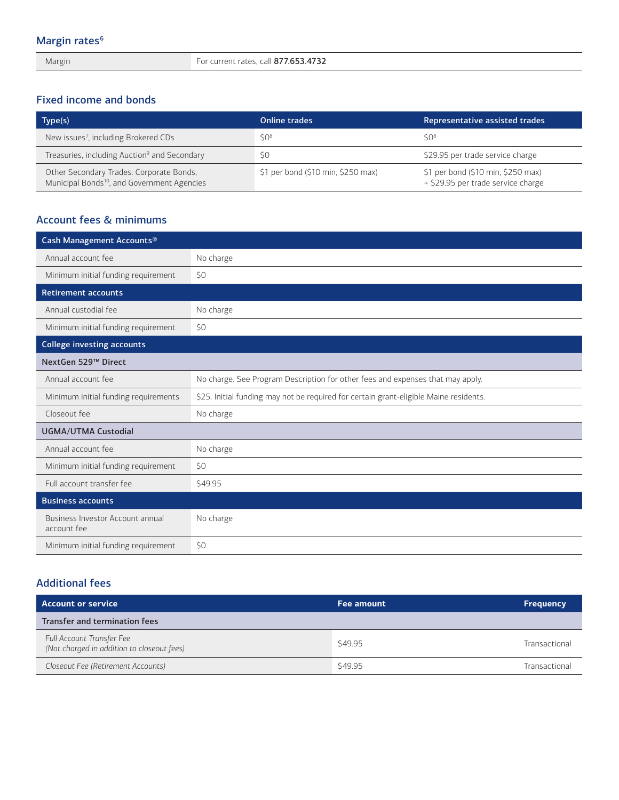Margin For current rates, call 877.653.4732

## Fixed income and bonds

| Type(s)                                                                                             | <b>Online trades</b>               | Representative assisted trades                                           |
|-----------------------------------------------------------------------------------------------------|------------------------------------|--------------------------------------------------------------------------|
| New issues <sup>7</sup> , including Brokered CDs                                                    | SO <sup>8</sup>                    | 50 <sup>8</sup>                                                          |
| Treasuries, including Auction <sup>9</sup> and Secondary                                            | SO                                 | \$29.95 per trade service charge                                         |
| Other Secondary Trades: Corporate Bonds,<br>Municipal Bonds <sup>10</sup> , and Government Agencies | \$1 per bond (\$10 min, \$250 max) | \$1 per bond (\$10 min, \$250 max)<br>+ \$29.95 per trade service charge |

## Account fees & minimums

| Cash Management Accounts®                       |                                                                                       |
|-------------------------------------------------|---------------------------------------------------------------------------------------|
| Annual account fee                              | No charge                                                                             |
| Minimum initial funding requirement             | \$0                                                                                   |
| <b>Retirement accounts</b>                      |                                                                                       |
| Annual custodial fee                            | No charge                                                                             |
| Minimum initial funding requirement             | \$0                                                                                   |
| <b>College investing accounts</b>               |                                                                                       |
| NextGen 529™ Direct                             |                                                                                       |
| Annual account fee                              | No charge. See Program Description for other fees and expenses that may apply.        |
| Minimum initial funding requirements            | \$25. Initial funding may not be required for certain grant-eligible Maine residents. |
| Closeout fee                                    | No charge                                                                             |
| <b>UGMA/UTMA Custodial</b>                      |                                                                                       |
| Annual account fee                              | No charge                                                                             |
| Minimum initial funding requirement             | \$0                                                                                   |
| Full account transfer fee                       | \$49.95                                                                               |
| <b>Business accounts</b>                        |                                                                                       |
| Business Investor Account annual<br>account fee | No charge                                                                             |
| Minimum initial funding requirement             | \$0                                                                                   |

## Additional fees

| <b>Account or service</b>                                               | Fee amount | <b>Frequency</b> |
|-------------------------------------------------------------------------|------------|------------------|
| Transfer and termination fees                                           |            |                  |
| Full Account Transfer Fee<br>(Not charged in addition to closeout fees) | \$49.95    | Transactional    |
| Closeout Fee (Retirement Accounts)                                      | \$49.95    | Transactional    |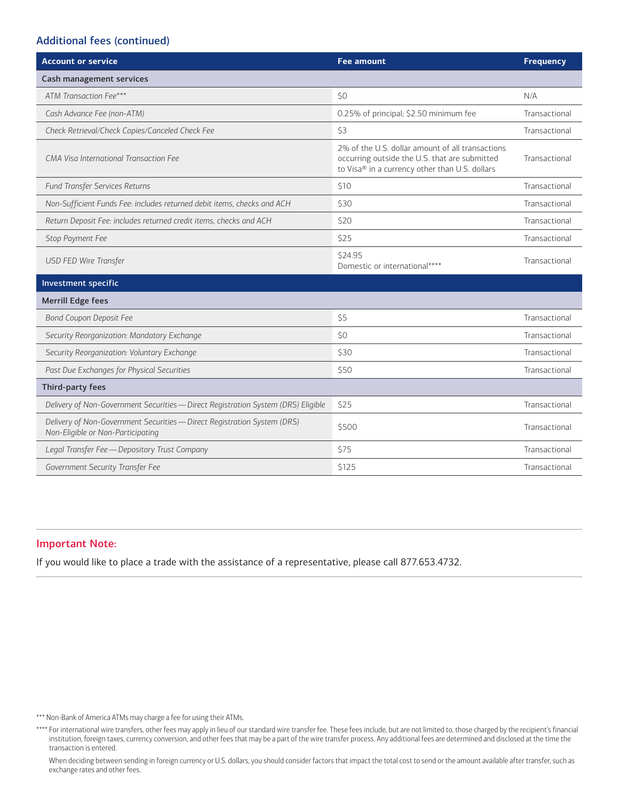## Additional fees (continued)

| <b>Account or service</b>                                                                                     | <b>Fee amount</b>                                                                                                                                   | <b>Frequency</b> |
|---------------------------------------------------------------------------------------------------------------|-----------------------------------------------------------------------------------------------------------------------------------------------------|------------------|
| Cash management services                                                                                      |                                                                                                                                                     |                  |
| ATM Transaction Fee***                                                                                        | SO                                                                                                                                                  | N/A              |
| Cash Advance Fee (non-ATM)                                                                                    | 0.25% of principal; \$2.50 minimum fee                                                                                                              | Transactional    |
| Check Retrieval/Check Copies/Canceled Check Fee                                                               | \$3                                                                                                                                                 | Transactional    |
| CMA Visa International Transaction Fee                                                                        | 2% of the U.S. dollar amount of all transactions<br>occurring outside the U.S. that are submitted<br>to Visa® in a currency other than U.S. dollars | Transactional    |
| Fund Transfer Services Returns                                                                                | \$10                                                                                                                                                | Transactional    |
| Non-Sufficient Funds Fee: includes returned debit items, checks and ACH                                       | \$30                                                                                                                                                | Transactional    |
| Return Deposit Fee: includes returned credit items, checks and ACH                                            | \$20                                                                                                                                                | Transactional    |
| Stop Payment Fee                                                                                              | \$25                                                                                                                                                | Transactional    |
| USD FED Wire Transfer                                                                                         | \$24.95<br>Domestic or international****                                                                                                            | Transactional    |
| Investment specific                                                                                           |                                                                                                                                                     |                  |
| <b>Merrill Edge fees</b>                                                                                      |                                                                                                                                                     |                  |
| <b>Bond Coupon Deposit Fee</b>                                                                                | \$5                                                                                                                                                 | Transactional    |
| Security Reorganization: Mandatory Exchange                                                                   | 50                                                                                                                                                  | Transactional    |
| Security Reorganization: Voluntary Exchange                                                                   | \$30                                                                                                                                                | Transactional    |
| Past Due Exchanges for Physical Securities                                                                    | \$50                                                                                                                                                | Transactional    |
| Third-party fees                                                                                              |                                                                                                                                                     |                  |
| Delivery of Non-Government Securities - Direct Registration System (DRS) Eligible                             | \$25                                                                                                                                                | Transactional    |
| Delivery of Non-Government Securities - Direct Registration System (DRS)<br>Non-Eligible or Non-Participating | \$500                                                                                                                                               | Transactional    |
| Legal Transfer Fee - Depository Trust Company                                                                 | \$75                                                                                                                                                | Transactional    |
| Government Security Transfer Fee                                                                              | \$125                                                                                                                                               | Transactional    |

#### Important Note:

If you would like to place a trade with the assistance of a representative, please call 877.653.4732.

<span id="page-2-0"></span>\*\*\* Non-Bank of America ATMs may charge a fee for using their ATMs.

<span id="page-2-1"></span>\*\*\*\* For international wire transfers, other fees may apply in lieu of our standard wire transfer fee. These fees include, but are not limited to, those charged by the recipient's financial institution, foreign taxes, currency conversion, and other fees that may be a part of the wire transfer process. Any additional fees are determined and disclosed at the time the transaction is entered.

When deciding between sending in foreign currency or U.S. dollars, you should consider factors that impact the total cost to send or the amount available after transfer, such as exchange rates and other fees.